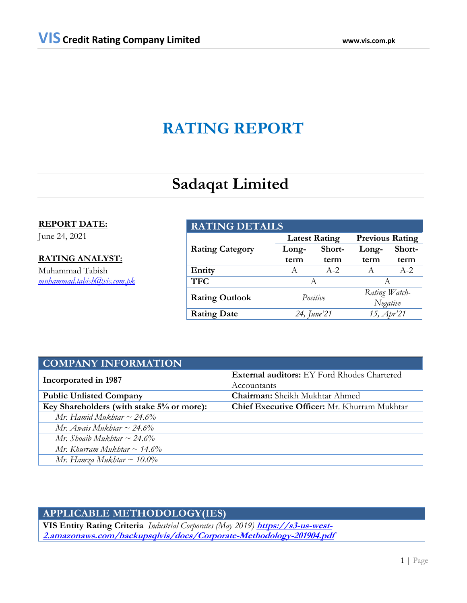# **RATING REPORT**

# **Sadaqat Limited**

## **REPORT DATE:**

June 24, 2021

## **RATING ANALYST:**

Muhammad Tabish *[muhammad.tabish@vis.com.pk](mailto:muhammad.tabish@vis.com.pk)*

| <b>RATING DETAILS</b>  |             |                      |                        |        |  |
|------------------------|-------------|----------------------|------------------------|--------|--|
|                        |             | <b>Latest Rating</b> | <b>Previous Rating</b> |        |  |
| <b>Rating Category</b> | Long-       | Short-               | Long-                  | Short- |  |
|                        | term        | term                 | term                   | term   |  |
| Entity                 | A           | $A - 2$              | A                      | $A-2$  |  |
| <b>TFC</b>             | A           |                      |                        |        |  |
|                        | Positive    |                      | Rating Watch-          |        |  |
| <b>Rating Outlook</b>  |             |                      | Negative               |        |  |
| <b>Rating Date</b>     | 24, June'21 |                      | 15, Apr'21             |        |  |

| <b>COMPANY INFORMATION</b>                |                                                     |  |  |  |
|-------------------------------------------|-----------------------------------------------------|--|--|--|
| Incorporated in 1987                      | <b>External auditors:</b> EY Ford Rhodes Chartered  |  |  |  |
|                                           | Accountants                                         |  |  |  |
| <b>Public Unlisted Company</b>            | <b>Chairman:</b> Sheikh Mukhtar Ahmed               |  |  |  |
| Key Shareholders (with stake 5% or more): | <b>Chief Executive Officer:</b> Mr. Khurram Mukhtar |  |  |  |
| Mr. Hamid Mukhtar $\sim$ 24.6%            |                                                     |  |  |  |
| Mr. Awais Mukhtar $\sim$ 24.6%            |                                                     |  |  |  |
| Mr. Shoaib Mukhtar $\sim$ 24.6%           |                                                     |  |  |  |
| Mr. Khurram Mukhtar $\sim$ 14.6%          |                                                     |  |  |  |
| Mr. Hamza Mukhtar ~ $10.0\%$              |                                                     |  |  |  |

# **APPLICABLE METHODOLOGY(IES)**

**VIS Entity Rating Criteria** *Industrial Corporates (May 2019)* **[https://s3-us-west-](https://s3-us-west-2.amazonaws.com/backupsqlvis/docs/Corporate-Methodology-201904.pdf)[2.amazonaws.com/backupsqlvis/docs/Corporate-Methodology-201904.pdf](https://s3-us-west-2.amazonaws.com/backupsqlvis/docs/Corporate-Methodology-201904.pdf)**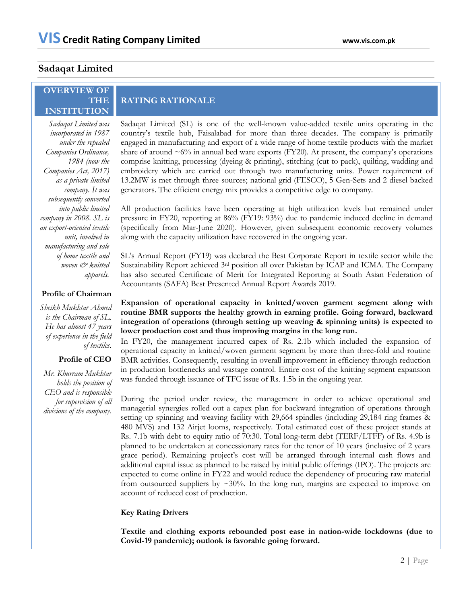## **Sadaqat Limited**

### **OVERVIEW OF THE INSTITUTION**

**RATING RATIONALE**

*Sadaqat Limited was incorporated in 1987 under the repealed Companies Ordinance, 1984 (now the Companies Act, 2017) as a private limited company. It was subsequently converted into public limited company in 2008. SL is an export-oriented textile unit, involved in manufacturing and sale of home textile and woven & knitted apparels.*

### **Profile of Chairman**

*Sheikh Mukhtar Ahmed is the Chairman of SL. He has almost 47 years of experience in the field of textiles.*

### **Profile of CEO**

*Mr. Khurram Mukhtar holds the position of CEO and is responsible for supervision of all divisions of the company.*

Sadaqat Limited (SL) is one of the well-known value-added textile units operating in the country's textile hub, Faisalabad for more than three decades. The company is primarily engaged in manufacturing and export of a wide range of home textile products with the market share of around  $\sim 6\%$  in annual bed ware exports (FY20). At present, the company's operations comprise knitting, processing (dyeing & printing), stitching (cut to pack), quilting, wadding and embroidery which are carried out through two manufacturing units. Power requirement of 13.2MW is met through three sources; national grid (FESCO), 5 Gen-Sets and 2 diesel backed generators. The efficient energy mix provides a competitive edge to company.

All production facilities have been operating at high utilization levels but remained under pressure in FY20, reporting at 86% (FY19: 93%) due to pandemic induced decline in demand (specifically from Mar-June 2020). However, given subsequent economic recovery volumes along with the capacity utilization have recovered in the ongoing year.

SL's Annual Report (FY19) was declared the Best Corporate Report in textile sector while the Sustainability Report achieved 3rd position all over Pakistan by ICAP and ICMA. The Company has also secured Certificate of Merit for Integrated Reporting at South Asian Federation of Accountants (SAFA) Best Presented Annual Report Awards 2019.

### **Expansion of operational capacity in knitted/woven garment segment along with routine BMR supports the healthy growth in earning profile. Going forward, backward integration of operations (through setting up weaving & spinning units) is expected to lower production cost and thus improving margins in the long run.**

In FY20, the management incurred capex of Rs. 2.1b which included the expansion of operational capacity in knitted/woven garment segment by more than three-fold and routine BMR activities. Consequently, resulting in overall improvement in efficiency through reduction in production bottlenecks and wastage control. Entire cost of the knitting segment expansion was funded through issuance of TFC issue of Rs. 1.5b in the ongoing year.

During the period under review, the management in order to achieve operational and managerial synergies rolled out a capex plan for backward integration of operations through setting up spinning and weaving facility with 29,664 spindles (including 29,184 ring frames & 480 MVS) and 132 Airjet looms, respectively. Total estimated cost of these project stands at Rs. 7.1b with debt to equity ratio of 70:30. Total long-term debt (TERF/LTFF) of Rs. 4.9b is planned to be undertaken at concessionary rates for the tenor of 10 years (inclusive of 2 years grace period). Remaining project's cost will be arranged through internal cash flows and additional capital issue as planned to be raised by initial public offerings (IPO). The projects are expected to come online in FY22 and would reduce the dependency of procuring raw material from outsourced suppliers by  $\sim 30\%$ . In the long run, margins are expected to improve on account of reduced cost of production.

### **Key Rating Drivers**

**Textile and clothing exports rebounded post ease in nation-wide lockdowns (due to Covid-19 pandemic); outlook is favorable going forward.**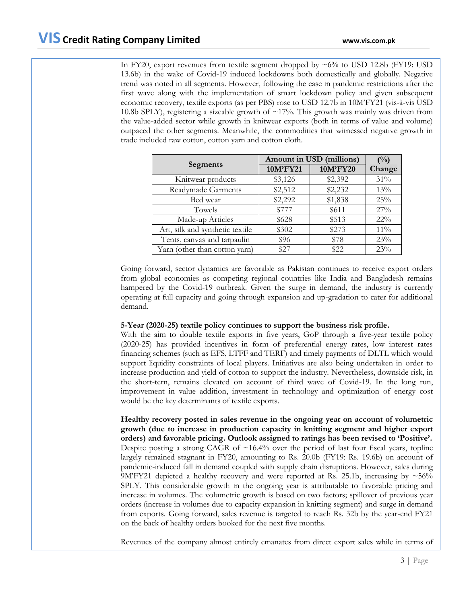In FY20, export revenues from textile segment dropped by  $\sim 6\%$  to USD 12.8b (FY19: USD 13.6b) in the wake of Covid-19 induced lockdowns both domestically and globally. Negative trend was noted in all segments. However, following the ease in pandemic restrictions after the first wave along with the implementation of smart lockdown policy and given subsequent economic recovery, textile exports (as per PBS) rose to USD 12.7b in 10M'FY21 (vis-à-vis USD 10.8b SPLY), registering a sizeable growth of  $\sim$ 17%. This growth was mainly was driven from the value-added sector while growth in knitwear exports (both in terms of value and volume) outpaced the other segments. Meanwhile, the commodities that witnessed negative growth in trade included raw cotton, cotton yarn and cotton cloth.

|                                 | Amount in USD (millions) | $\binom{0}{0}$ |        |
|---------------------------------|--------------------------|----------------|--------|
| <b>Segments</b>                 | 10M'FY21                 | 10M'FY20       | Change |
| Knitwear products               | \$3,126                  | \$2,392        | 31%    |
| <b>Readymade Garments</b>       | \$2,512                  | \$2,232        | 13%    |
| Bed wear                        | \$2,292                  | \$1,838        | 25%    |
| Towels                          | \$777                    | \$611          | 27%    |
| Made-up Articles                | \$628                    | \$513          | $22\%$ |
| Art, silk and synthetic textile | \$302                    | \$273          | $11\%$ |
| Tents, canvas and tarpaulin     | \$96                     | \$78           | 23%    |
| Yarn (other than cotton yarn)   | \$27                     | \$22           | 23%    |

Going forward, sector dynamics are favorable as Pakistan continues to receive export orders from global economies as competing regional countries like India and Bangladesh remains hampered by the Covid-19 outbreak. Given the surge in demand, the industry is currently operating at full capacity and going through expansion and up-gradation to cater for additional demand.

### **5-Year (2020-25) textile policy continues to support the business risk profile.**

With the aim to double textile exports in five years, GoP through a five-year textile policy (2020-25) has provided incentives in form of preferential energy rates, low interest rates financing schemes (such as EFS, LTFF and TERF) and timely payments of DLTL which would support liquidity constraints of local players. Initiatives are also being undertaken in order to increase production and yield of cotton to support the industry. Nevertheless, downside risk, in the short-tern, remains elevated on account of third wave of Covid-19. In the long run, improvement in value addition, investment in technology and optimization of energy cost would be the key determinants of textile exports.

**Healthy recovery posted in sales revenue in the ongoing year on account of volumetric growth (due to increase in production capacity in knitting segment and higher export orders) and favorable pricing. Outlook assigned to ratings has been revised to 'Positive'.** Despite posting a strong CAGR of  $\sim$ 16.4% over the period of last four fiscal years, topline largely remained stagnant in FY20, amounting to Rs. 20.0b (FY19: Rs. 19.6b) on account of pandemic-induced fall in demand coupled with supply chain disruptions. However, sales during 9M'FY21 depicted a healthy recovery and were reported at Rs. 25.1b, increasing by  $\sim$ 56% SPLY. This considerable growth in the ongoing year is attributable to favorable pricing and increase in volumes. The volumetric growth is based on two factors; spillover of previous year orders (increase in volumes due to capacity expansion in knitting segment) and surge in demand from exports. Going forward, sales revenue is targeted to reach Rs. 32b by the year-end FY21 on the back of healthy orders booked for the next five months.

Revenues of the company almost entirely emanates from direct export sales while in terms of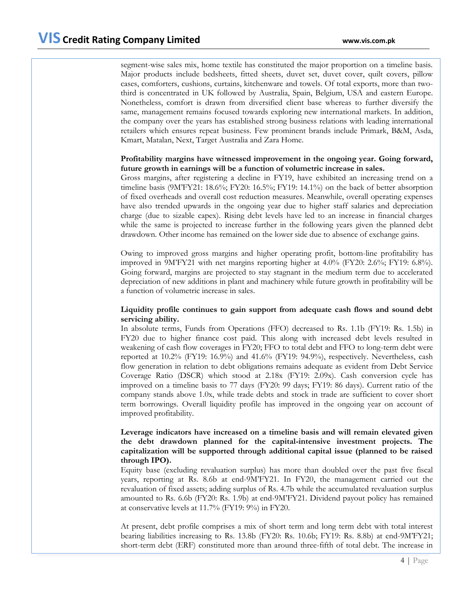segment-wise sales mix, home textile has constituted the major proportion on a timeline basis. Major products include bedsheets, fitted sheets, duvet set, duvet cover, quilt covers, pillow cases, comforters, cushions, curtains, kitchenware and towels. Of total exports, more than twothird is concentrated in UK followed by Australia, Spain, Belgium, USA and eastern Europe. Nonetheless, comfort is drawn from diversified client base whereas to further diversify the same, management remains focused towards exploring new international markets. In addition, the company over the years has established strong business relations with leading international retailers which ensures repeat business. Few prominent brands include Primark, B&M, Asda, Kmart, Matalan, Next, Target Australia and Zara Home.

## **Profitability margins have witnessed improvement in the ongoing year. Going forward, future growth in earnings will be a function of volumetric increase in sales.**

Gross margins, after registering a decline in FY19, have exhibited an increasing trend on a timeline basis (9M'FY21: 18.6%; FY20: 16.5%; FY19: 14.1%) on the back of better absorption of fixed overheads and overall cost reduction measures. Meanwhile, overall operating expenses have also trended upwards in the ongoing year due to higher staff salaries and depreciation charge (due to sizable capex). Rising debt levels have led to an increase in financial charges while the same is projected to increase further in the following years given the planned debt drawdown. Other income has remained on the lower side due to absence of exchange gains.

Owing to improved gross margins and higher operating profit, bottom-line profitability has improved in 9M'FY21 with net margins reporting higher at 4.0% (FY20: 2.6%; FY19: 6.8%). Going forward, margins are projected to stay stagnant in the medium term due to accelerated depreciation of new additions in plant and machinery while future growth in profitability will be a function of volumetric increase in sales.

### **Liquidity profile continues to gain support from adequate cash flows and sound debt servicing ability.**

In absolute terms, Funds from Operations (FFO) decreased to Rs. 1.1b (FY19: Rs. 1.5b) in FY20 due to higher finance cost paid. This along with increased debt levels resulted in weakening of cash flow coverages in FY20; FFO to total debt and FFO to long-term debt were reported at 10.2% (FY19: 16.9%) and 41.6% (FY19: 94.9%), respectively. Nevertheless, cash flow generation in relation to debt obligations remains adequate as evident from Debt Service Coverage Ratio (DSCR) which stood at 2.18x (FY19: 2.09x). Cash conversion cycle has improved on a timeline basis to 77 days (FY20: 99 days; FY19: 86 days). Current ratio of the company stands above 1.0x, while trade debts and stock in trade are sufficient to cover short term borrowings. Overall liquidity profile has improved in the ongoing year on account of improved profitability.

### **Leverage indicators have increased on a timeline basis and will remain elevated given the debt drawdown planned for the capital-intensive investment projects. The capitalization will be supported through additional capital issue (planned to be raised through IPO).**

Equity base (excluding revaluation surplus) has more than doubled over the past five fiscal years, reporting at Rs. 8.6b at end-9M'FY21. In FY20, the management carried out the revaluation of fixed assets; adding surplus of Rs. 4.7b while the accumulated revaluation surplus amounted to Rs. 6.6b (FY20: Rs. 1.9b) at end-9M'FY21. Dividend payout policy has remained at conservative levels at 11.7% (FY19: 9%) in FY20.

At present, debt profile comprises a mix of short term and long term debt with total interest bearing liabilities increasing to Rs. 13.8b (FY20: Rs. 10.6b; FY19: Rs. 8.8b) at end-9M'FY21; short-term debt (ERF) constituted more than around three-fifth of total debt. The increase in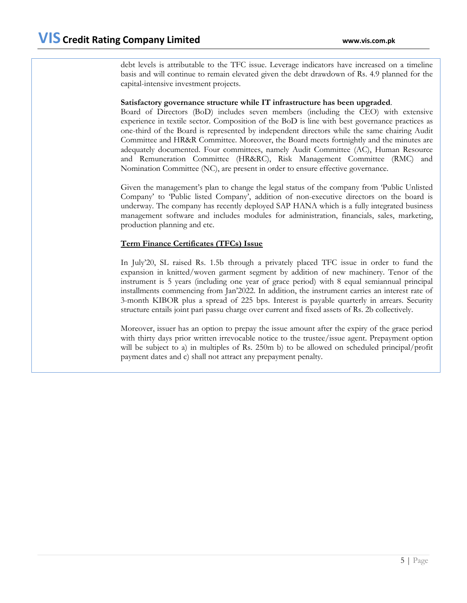debt levels is attributable to the TFC issue. Leverage indicators have increased on a timeline basis and will continue to remain elevated given the debt drawdown of Rs. 4.9 planned for the capital-intensive investment projects.

### **Satisfactory governance structure while IT infrastructure has been upgraded**.

Board of Directors (BoD) includes seven members (including the CEO) with extensive experience in textile sector. Composition of the BoD is line with best governance practices as one-third of the Board is represented by independent directors while the same chairing Audit Committee and HR&R Committee. Moreover, the Board meets fortnightly and the minutes are adequately documented. Four committees, namely Audit Committee (AC), Human Resource and Remuneration Committee (HR&RC), Risk Management Committee (RMC) and Nomination Committee (NC), are present in order to ensure effective governance.

Given the management's plan to change the legal status of the company from 'Public Unlisted Company' to 'Public listed Company', addition of non-executive directors on the board is underway. The company has recently deployed SAP HANA which is a fully integrated business management software and includes modules for administration, financials, sales, marketing, production planning and etc.

### **Term Finance Certificates (TFCs) Issue**

In July'20, SL raised Rs. 1.5b through a privately placed TFC issue in order to fund the expansion in knitted/woven garment segment by addition of new machinery. Tenor of the instrument is 5 years (including one year of grace period) with 8 equal semiannual principal installments commencing from Jan'2022. In addition, the instrument carries an interest rate of 3-month KIBOR plus a spread of 225 bps. Interest is payable quarterly in arrears. Security structure entails joint pari passu charge over current and fixed assets of Rs. 2b collectively.

Moreover, issuer has an option to prepay the issue amount after the expiry of the grace period with thirty days prior written irrevocable notice to the trustee/issue agent. Prepayment option will be subject to a) in multiples of Rs. 250m b) to be allowed on scheduled principal/profit payment dates and c) shall not attract any prepayment penalty.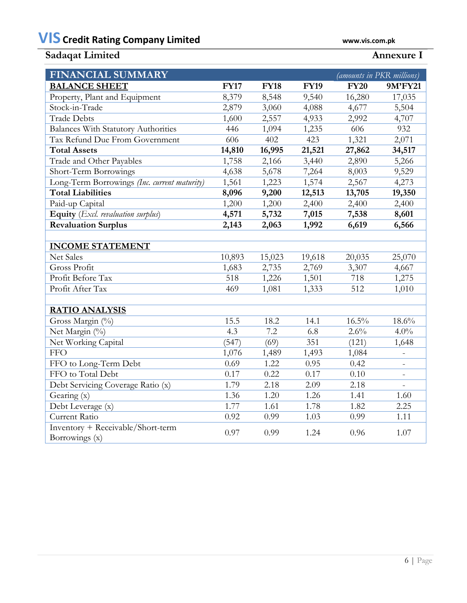# **VIS Credit Rating Company Limited www.vis.com.pk**

# **Sadaqat Limited Annexure I**

| <b>FINANCIAL SUMMARY</b>                            |             |             |             | <i>(amounts in PKR millions)</i> |                          |
|-----------------------------------------------------|-------------|-------------|-------------|----------------------------------|--------------------------|
| <b>BALANCE SHEET</b>                                | <b>FY17</b> | <b>FY18</b> | <b>FY19</b> | <b>FY20</b>                      | 9M'FY21                  |
| Property, Plant and Equipment                       | 8,379       | 8,548       | 9,540       | 16,280                           | 17,035                   |
| Stock-in-Trade                                      | 2,879       | 3,060       | 4,088       | 4,677                            | 5,504                    |
| <b>Trade Debts</b>                                  | 1,600       | 2,557       | 4,933       | 2,992                            | 4,707                    |
| <b>Balances With Statutory Authorities</b>          | 446         | 1,094       | 1,235       | 606                              | 932                      |
| Tax Refund Due From Government                      | 606         | 402         | 423         | 1,321                            | 2,071                    |
| <b>Total Assets</b>                                 | 14,810      | 16,995      | 21,521      | 27,862                           | 34,517                   |
| Trade and Other Payables                            | 1,758       | 2,166       | 3,440       | 2,890                            | 5,266                    |
| Short-Term Borrowings                               | 4,638       | 5,678       | 7,264       | 8,003                            | 9,529                    |
| Long-Term Borrowings (Inc. current maturity)        | 1,561       | 1,223       | 1,574       | 2,567                            | 4,273                    |
| <b>Total Liabilities</b>                            | 8,096       | 9,200       | 12,513      | 13,705                           | 19,350                   |
| Paid-up Capital                                     | 1,200       | 1,200       | 2,400       | 2,400                            | 2,400                    |
| Equity (Excl. revaluation surplus)                  | 4,571       | 5,732       | 7,015       | 7,538                            | 8,601                    |
| <b>Revaluation Surplus</b>                          | 2,143       | 2,063       | 1,992       | 6,619                            | 6,566                    |
|                                                     |             |             |             |                                  |                          |
| <b>INCOME STATEMENT</b>                             |             |             |             |                                  |                          |
| <b>Net Sales</b>                                    | 10,893      | 15,023      | 19,618      | 20,035                           | 25,070                   |
| Gross Profit                                        | 1,683       | 2,735       | 2,769       | 3,307                            | 4,667                    |
| Profit Before Tax                                   | 518         | 1,226       | 1,501       | 718                              | 1,275                    |
| Profit After Tax                                    | 469         | 1,081       | 1,333       | 512                              | 1,010                    |
|                                                     |             |             |             |                                  |                          |
| <b>RATIO ANALYSIS</b>                               |             |             |             |                                  |                          |
| Gross Margin (%)                                    | 15.5        | 18.2        | 14.1        | $16.5\%$                         | 18.6%                    |
| Net Margin (%)                                      | 4.3         | 7.2         | 6.8         | 2.6%                             | $4.0\%$                  |
| Net Working Capital                                 | (547)       | (69)        | 351         | (121)                            | 1,648                    |
| <b>FFO</b>                                          | 1,076       | 1,489       | 1,493       | 1,084                            |                          |
| FFO to Long-Term Debt                               | 0.69        | 1.22        | 0.95        | 0.42                             |                          |
| FFO to Total Debt                                   | 0.17        | 0.22        | 0.17        | 0.10                             | $\overline{\phantom{a}}$ |
| Debt Servicing Coverage Ratio (x)                   | 1.79        | 2.18        | 2.09        | 2.18                             |                          |
| Gearing (x)                                         | 1.36        | 1.20        | 1.26        | 1.41                             | 1.60                     |
| Debt Leverage (x)                                   | 1.77        | 1.61        | 1.78        | 1.82                             | 2.25                     |
| Current Ratio                                       | 0.92        | 0.99        | 1.03        | 0.99                             | 1.11                     |
| Inventory + Receivable/Short-term<br>Borrowings (x) | 0.97        | 0.99        | 1.24        | 0.96                             | 1.07                     |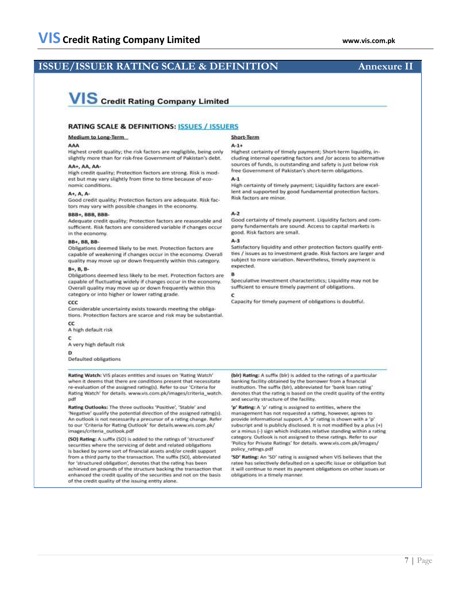## **ISSUE/ISSUER RATING SCALE & DEFINITION Annexure II**

# **VIS** Credit Rating Company Limited

#### **RATING SCALE & DEFINITIONS: ISSUES / ISSUERS**

#### AAA

Highest credit quality; the risk factors are negligible, being only slightly more than for risk-free Government of Pakistan's debt.

#### AA+, AA, AA

**Medium to Long-Term** 

High credit quality; Protection factors are strong. Risk is modest but may vary slightly from time to time because of economic conditions.

#### A+, A, A-

Good credit quality; Protection factors are adequate. Risk factors may vary with possible changes in the economy.

#### BBB+, BBB, BBB-

Adequate credit quality; Protection factors are reasonable and sufficient. Risk factors are considered variable if changes occur in the economy.

#### BB+, BB, BB-

Obligations deemed likely to be met. Protection factors are capable of weakening if changes occur in the economy. Overall quality may move up or down frequently within this category.

#### B+, B, B-

Obligations deemed less likely to be met. Protection factors are capable of fluctuating widely if changes occur in the economy. Overall quality may move up or down frequently within this category or into higher or lower rating grade.

#### CCC

Considerable uncertainty exists towards meeting the obligations. Protection factors are scarce and risk may be substantial.

cc A high default risk

c

A very high default risk

Ď

Defaulted obligations

Rating Watch: VIS places entities and issues on 'Rating Watch' when it deems that there are conditions present that necessitate re-evaluation of the assigned rating(s). Refer to our 'Criteria for Rating Watch' for details. www.vis.com.pk/images/criteria\_watch. pdf

Rating Outlooks: The three outlooks 'Positive', 'Stable' and 'Negative' qualify the potential direction of the assigned rating(s). An outlook is not necessarily a precursor of a rating change. Refer to our 'Criteria for Rating Outlook' for details.www.vis.com.pk/ images/criteria\_outlook.pdf

(SO) Rating: A suffix (SO) is added to the ratings of 'structured' securities where the servicing of debt and related obligations is backed by some sort of financial assets and/or credit support from a third party to the transaction. The suffix (SO), abbreviated for 'structured obligation', denotes that the rating has been achieved on grounds of the structure backing the transaction that enhanced the credit quality of the securities and not on the basis of the credit quality of the issuing entity alone.

#### Short-Term  $A - 1 +$

Highest certainty of timely payment; Short-term liquidity, including internal operating factors and /or access to alternative sources of funds, is outstanding and safety is just below risk free Government of Pakistan's short-term obligations.

 $A-1$ 

High certainty of timely payment; Liquidity factors are excellent and supported by good fundamental protection factors. Risk factors are minor.

#### $A-2$

Good certainty of timely payment. Liquidity factors and company fundamentals are sound. Access to capital markets is good. Risk factors are small.

Satisfactory liquidity and other protection factors qualify entities / issues as to investment grade. Risk factors are larger and subject to more variation. Nevertheless, timely payment is expected.

Speculative investment characteristics; Liquidity may not be sufficient to ensure timely payment of obligations.

Capacity for timely payment of obligations is doubtful.

(bir) Rating: A suffix (bir) is added to the ratings of a particular banking facility obtained by the borrower from a financial institution. The suffix (bir), abbreviated for 'bank loan rating' denotes that the rating is based on the credit quality of the entity and security structure of the facility.

'p' Rating: A 'p' rating is assigned to entities, where the management has not requested a rating, however, agrees to provide informational support. A 'p' rating is shown with a 'p' subscript and is publicly disclosed. It is not modified by a plus (+) or a minus (-) sign which indicates relative standing within a rating category. Outlook is not assigned to these ratings. Refer to our 'Policy for Private Ratings' for details. www.vis.com.pk/images/ policy ratings.pdf

'SD' Rating: An 'SD' rating is assigned when VIS believes that the ratee has selectively defaulted on a specific issue or obligation but it will continue to meet its payment obligations on other issues or obligations in a timely manner.